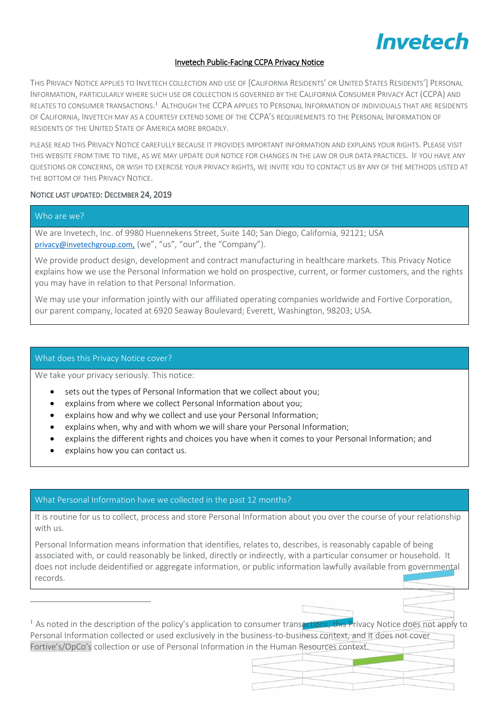### Invetech Public-Facing CCPA Privacy Notice

THIS PRIVACY NOTICE APPLIES TO INVETECH COLLECTION AND USE OF [CALIFORNIA RESIDENTS' OR UNITED STATES RESIDENTS'] PERSONAL INFORMATION, PARTICULARLY WHERE SUCH USE OR COLLECTION IS GOVERNED BY THE CALIFORNIA CONSUMER PRIVACY ACT (CCPA) AND RELATES TO CONSUMER TRANSACTIONS.<sup>1</sup> ALTHOUGH THE CCPA APPLIES TO PERSONAL INFORMATION OF INDIVIDUALS THAT ARE RESIDENTS OF CALIFORNIA, INVETECH MAY AS A COURTESY EXTEND SOME OF THE CCPA'S REQUIREMENTS TO THE PERSONAL INFORMATION OF RESIDENTS OF THE UNITED STATE OF AMERICA MORE BROADLY.

PLEASE READ THIS PRIVACY NOTICE CAREFULLY BECAUSE IT PROVIDES IMPORTANT INFORMATION AND EXPLAINS YOUR RIGHTS. PLEASE VISIT THIS WEBSITE FROM TIME TO TIME, AS WE MAY UPDATE OUR NOTICE FOR CHANGES IN THE LAW OR OUR DATA PRACTICES. IF YOU HAVE ANY QUESTIONS OR CONCERNS, OR WISH TO EXERCISE YOUR PRIVACY RIGHTS, WE INVITE YOU TO CONTACT US BY ANY OF THE METHODS LISTED AT THE BOTTOM OF THIS PRIVACY NOTICE.

#### NOTICE LAST UPDATED: DECEMBER 24, 2019

# Who are we?

 $\overline{a}$ 

We are Invetech, Inc. of 9980 Huennekens Street, Suite 140; San Diego, California, 92121; USA [privacy@invetechgroup.com,](mailto:privacy@invetechgroup.com) (we", "us", "our", the "Company").

We provide product design, development and contract manufacturing in healthcare markets. This Privacy Notice explains how we use the Personal Information we hold on prospective, current, or former customers, and the rights you may have in relation to that Personal Information.

We may use your information jointly with our affiliated operating companies worldwide and Fortive Corporation, our parent company, located at 6920 Seaway Boulevard; Everett, Washington, 98203; USA.

#### What does this Privacy Notice cover?

We take your privacy seriously. This notice:

- sets out the types of Personal Information that we collect about you;
- explains from where we collect Personal Information about you;
- explains how and why we collect and use your Personal Information;
- explains when, why and with whom we will share your Personal Information;
- explains the different rights and choices you have when it comes to your Personal Information; and
- explains how you can contact us.

# What Personal Information have we collected in the past 12 months?

It is routine for us to collect, process and store Personal Information about you over the course of your relationship with us.

Personal Information means information that identifies, relates to, describes, is reasonably capable of being associated with, or could reasonably be linked, directly or indirectly, with a particular consumer or household. It does not include deidentified or aggregate information, or public information lawfully available from governmental records.

 $1$  As noted in the description of the policy's application to consumer transactions, this Privacy Notice does not apply to Personal Information collected or used exclusively in the business-to-business context, and it does not cover Fortive's/OpCo's collection or use of Personal Information in the Human Resources context.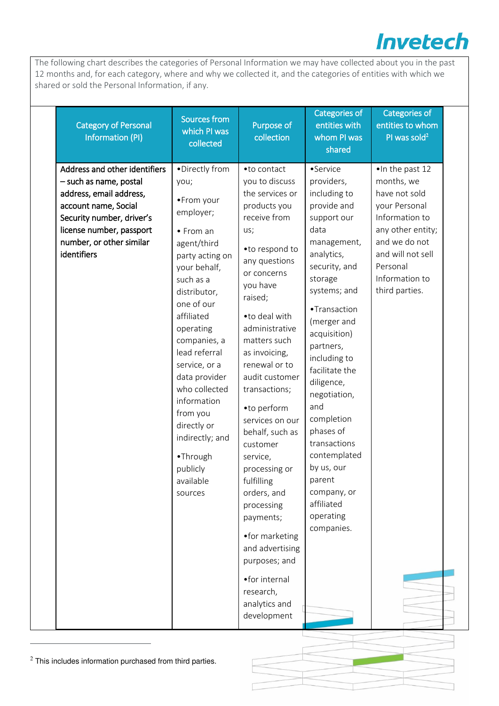The following chart describes the categories of Personal Information we may have collected about you in the past 12 months and, for each category, where and why we collected it, and the categories of entities with which we shared or sold the Personal Information, if any.

| <b>Category of Personal</b><br><b>Information (PI)</b>                                                                                                                                                         | Sources from<br>which PI was<br>collected                                                                                                                                                                                                                                                                                                                                               | Purpose of<br>collection                                                                                                                                                                                                                                                                                                                                                                                                                                                                                                                                             | Categories of<br>entities with<br>whom PI was<br>shared                                                                                                                                                                                                                                                                                                                                                                             | Categories of<br>entities to whom<br>PI was sold <sup>2</sup>                                                                                                                                 |  |
|----------------------------------------------------------------------------------------------------------------------------------------------------------------------------------------------------------------|-----------------------------------------------------------------------------------------------------------------------------------------------------------------------------------------------------------------------------------------------------------------------------------------------------------------------------------------------------------------------------------------|----------------------------------------------------------------------------------------------------------------------------------------------------------------------------------------------------------------------------------------------------------------------------------------------------------------------------------------------------------------------------------------------------------------------------------------------------------------------------------------------------------------------------------------------------------------------|-------------------------------------------------------------------------------------------------------------------------------------------------------------------------------------------------------------------------------------------------------------------------------------------------------------------------------------------------------------------------------------------------------------------------------------|-----------------------------------------------------------------------------------------------------------------------------------------------------------------------------------------------|--|
| Address and other identifiers<br>- such as name, postal<br>address, email address,<br>account name, Social<br>Security number, driver's<br>license number, passport<br>number, or other similar<br>identifiers | •Directly from<br>you;<br>•From your<br>employer;<br>• From an<br>agent/third<br>party acting on<br>your behalf,<br>such as a<br>distributor,<br>one of our<br>affiliated<br>operating<br>companies, a<br>lead referral<br>service, or a<br>data provider<br>who collected<br>information<br>from you<br>directly or<br>indirectly; and<br>•Through<br>publicly<br>available<br>sources | •to contact<br>you to discuss<br>the services or<br>products you<br>receive from<br>us;<br>•to respond to<br>any questions<br>or concerns<br>you have<br>raised;<br>• to deal with<br>administrative<br>matters such<br>as invoicing,<br>renewal or to<br>audit customer<br>transactions;<br>•to perform<br>services on our<br>behalf, such as<br>customer<br>service,<br>processing or<br>fulfilling<br>orders, and<br>processing<br>payments;<br>•for marketing<br>and advertising<br>purposes; and<br>• for internal<br>research,<br>analytics and<br>development | •Service<br>providers,<br>including to<br>provide and<br>support our<br>data<br>management,<br>analytics,<br>security, and<br>storage<br>systems; and<br>•Transaction<br>(merger and<br>acquisition)<br>partners,<br>including to<br>facilitate the<br>diligence,<br>negotiation,<br>and<br>completion<br>phases of<br>transactions<br>contemplated<br>by us, our<br>parent<br>company, or<br>affiliated<br>operating<br>companies. | . In the past 12<br>months, we<br>have not sold<br>your Personal<br>Information to<br>any other entity;<br>and we do not<br>and will not sell<br>Personal<br>Information to<br>third parties. |  |

 $2$  This includes information purchased from third parties.

 $\overline{a}$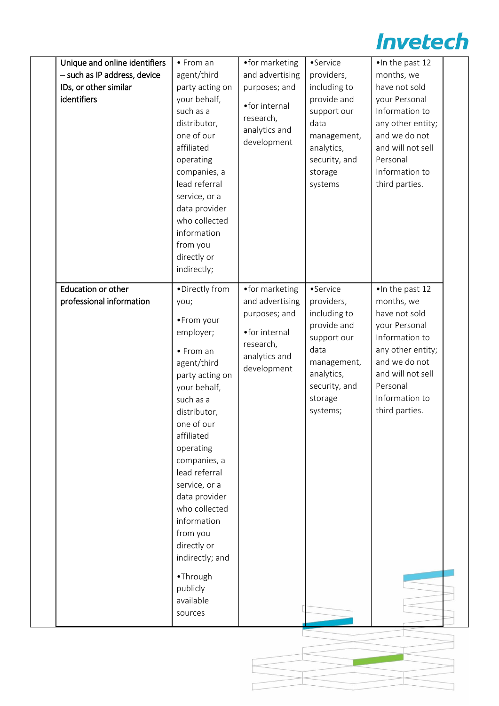| Unique and online identifiers<br>- such as IP address, device<br>IDs, or other similar<br>identifiers | $\bullet$ From an<br>agent/third<br>party acting on<br>your behalf,<br>such as a<br>distributor,<br>one of our<br>affiliated<br>operating<br>companies, a<br>lead referral<br>service, or a<br>data provider<br>who collected<br>information<br>from you<br>directly or<br>indirectly;                                                                                                  | • for marketing<br>and advertising<br>purposes; and<br>•for internal<br>research,<br>analytics and<br>development | •Service<br>providers,<br>including to<br>provide and<br>support our<br>data<br>management,<br>analytics,<br>security, and<br>storage<br>systems  | . In the past 12<br>months, we<br>have not sold<br>your Personal<br>Information to<br>any other entity;<br>and we do not<br>and will not sell<br>Personal<br>Information to<br>third parties. |  |
|-------------------------------------------------------------------------------------------------------|-----------------------------------------------------------------------------------------------------------------------------------------------------------------------------------------------------------------------------------------------------------------------------------------------------------------------------------------------------------------------------------------|-------------------------------------------------------------------------------------------------------------------|---------------------------------------------------------------------------------------------------------------------------------------------------|-----------------------------------------------------------------------------------------------------------------------------------------------------------------------------------------------|--|
| Education or other<br>professional information                                                        | ·Directly from<br>you;<br>•From your<br>employer;<br>• From an<br>agent/third<br>party acting on<br>your behalf,<br>such as a<br>distributor,<br>one of our<br>affiliated<br>operating<br>companies, a<br>lead referral<br>service, or a<br>data provider<br>who collected<br>information<br>from you<br>directly or<br>indirectly; and<br>•Through<br>publicly<br>available<br>sources | •for marketing<br>and advertising<br>purposes; and<br>•for internal<br>research,<br>analytics and<br>development  | •Service<br>providers,<br>including to<br>provide and<br>support our<br>data<br>management,<br>analytics,<br>security, and<br>storage<br>systems; | . In the past 12<br>months, we<br>have not sold<br>your Personal<br>Information to<br>any other entity;<br>and we do not<br>and will not sell<br>Personal<br>Information to<br>third parties. |  |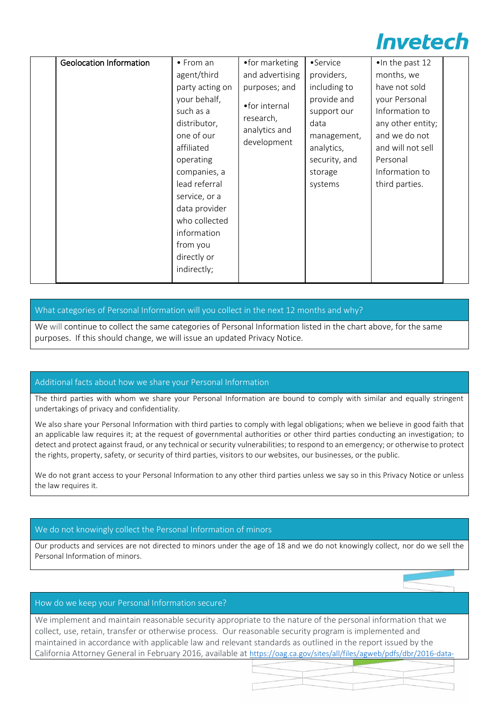| <b>Geolocation Information</b> | • From an<br>agent/third<br>party acting on<br>your behalf,<br>such as a                                                                                                                           | •for marketing<br>and advertising<br>purposes; and<br>•for internal<br>research, | •Service<br>providers,<br>including to<br>provide and<br>support our     | •In the past 12<br>months, we<br>have not sold<br>your Personal<br>Information to                       |  |
|--------------------------------|----------------------------------------------------------------------------------------------------------------------------------------------------------------------------------------------------|----------------------------------------------------------------------------------|--------------------------------------------------------------------------|---------------------------------------------------------------------------------------------------------|--|
|                                | distributor,<br>one of our<br>affiliated<br>operating<br>companies, a<br>lead referral<br>service, or a<br>data provider<br>who collected<br>information<br>from you<br>directly or<br>indirectly; | analytics and<br>development                                                     | data<br>management,<br>analytics,<br>security, and<br>storage<br>systems | any other entity;<br>and we do not<br>and will not sell<br>Personal<br>Information to<br>third parties. |  |

# What categories of Personal Information will you collect in the next 12 months and why?

We will continue to collect the same categories of Personal Information listed in the chart above, for the same purposes. If this should change, we will issue an updated Privacy Notice.

# Additional facts about how we share your Personal Information

The third parties with whom we share your Personal Information are bound to comply with similar and equally stringent undertakings of privacy and confidentiality.

We also share your Personal Information with third parties to comply with legal obligations; when we believe in good faith that an applicable law requires it; at the request of governmental authorities or other third parties conducting an investigation; to detect and protect against fraud, or any technical or security vulnerabilities; to respond to an emergency; or otherwise to protect the rights, property, safety, or security of third parties, visitors to our websites, our businesses, or the public.

We do not grant access to your Personal Information to any other third parties unless we say so in this Privacy Notice or unless the law requires it.

# We do not knowingly collect the Personal Information of minors

Our products and services are not directed to minors under the age of 18 and we do not knowingly collect, nor do we sell the Personal Information of minors.

#### How do we keep your Personal Information secure?

We implement and maintain reasonable security appropriate to the nature of the personal information that we collect, use, retain, transfer or otherwise process. Our reasonable security program is implemented and maintained in accordance with applicable law and relevant standards as outlined in the report issued by the California Attorney General in February 2016, available at [https://oag.ca.gov/sites/all/files/agweb/pdfs/dbr/2016-data-](https://oag.ca.gov/sites/all/files/agweb/pdfs/dbr/2016-data-breach-report.pdf)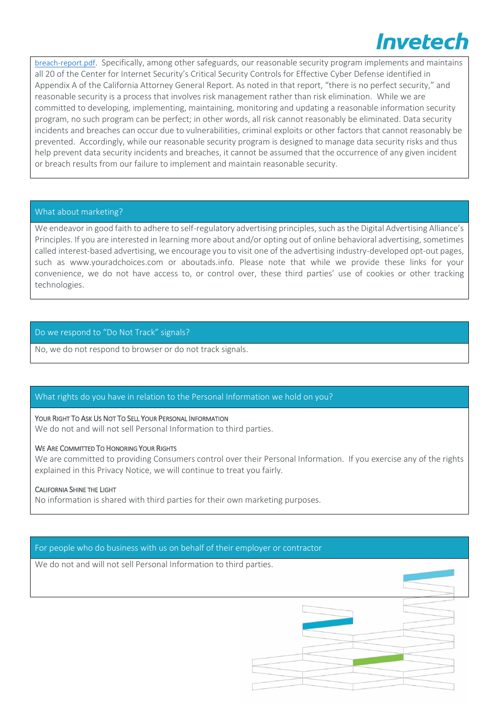[breach-report.pdf](https://oag.ca.gov/sites/all/files/agweb/pdfs/dbr/2016-data-breach-report.pdf). Specifically, among other safeguards, our reasonable security program implements and maintains all 20 of the Center for Internet Security's Critical Security Controls for Effective Cyber Defense identified in Appendix A of the California Attorney General Report. As noted in that report, "there is no perfect security," and reasonable security is a process that involves risk management rather than risk elimination. While we are committed to developing, implementing, maintaining, monitoring and updating a reasonable information security program, no such program can be perfect; in other words, all risk cannot reasonably be eliminated. Data security incidents and breaches can occur due to vulnerabilities, criminal exploits or other factors that cannot reasonably be prevented. Accordingly, while our reasonable security program is designed to manage data security risks and thus help prevent data security incidents and breaches, it cannot be assumed that the occurrence of any given incident or breach results from our failure to implement and maintain reasonable security.

### What about marketing?

We endeavor in good faith to adhere to self-regulatory advertising principles, such as the Digital Advertising Alliance's Principles. If you are interested in learning more about and/or opting out of online behavioral advertising, sometimes called interest-based advertising, we encourage you to visit one of the advertising industry-developed opt-out pages, such as [www.youradchoices.com](https://www.youradchoices.com/) or [aboutads.info.](https://www.aboutads.info/) Please note that while we provide these links for your convenience, we do not have access to, or control over, these third parties' use of cookies or other tracking technologies.

### Do we respond to "Do Not Track" signals?

No, we do not respond to browser or do not track signals.

# What rights do you have in relation to the Personal Information we hold on you?

#### YOUR RIGHT TO ASK US NOT TO SELL YOUR PERSONAL INFORMATION

We do not and will not sell Personal Information to third parties.

#### WE ARE COMMITTED TO HONORING YOUR RIGHTS

We are committed to providing Consumers control over their Personal Information. If you exercise any of the rights explained in this Privacy Notice, we will continue to treat you fairly.

#### CALIFORNIA SHINE THE LIGHT

No information is shared with third parties for their own marketing purposes.

#### For people who do business with us on behalf of their employer or contractor

We do not and will not sell Personal Information to third parties.